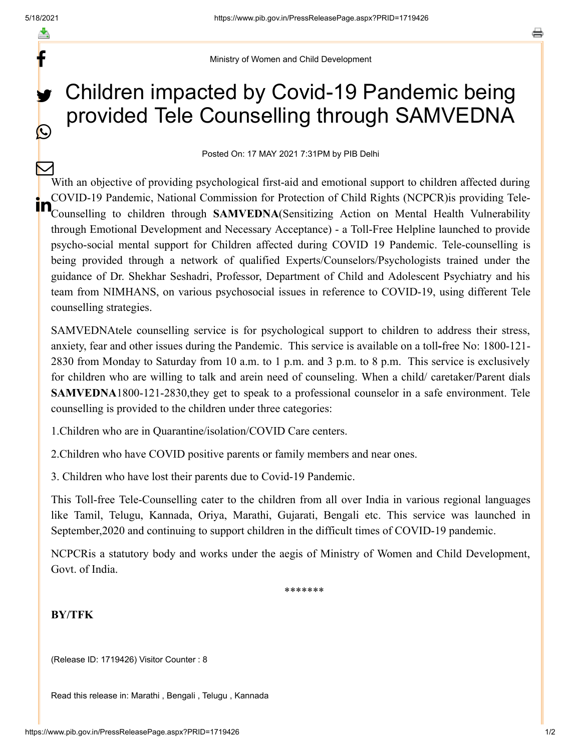f

C

Ministry of Women and Child Development

## Children impacted by Covid-19 Pandemic being provided Tele Counselling through SAMVEDNA y.

Posted On: 17 MAY 2021 7:31PM by PIB Delhi

With an objective of providing psychological first-aid and emotional support to children affected during COVID-19 Pandemic, National Commission for Protection of Child Rights (NCPCR)is providing Tele-COVID-19 Pandemic, National Commission for Protection of Child Rights (NCPCR) is providing Tele-<br>Counselling to children through **SAMVEDNA**(Sensitizing Action on Mental Health Vulnerability through Emotional Development and Necessary Acceptance) - a Toll-Free Helpline launched to provide psycho-social mental support for Children affected during COVID 19 Pandemic. Tele-counselling is being provided through a network of qualified Experts/Counselors/Psychologists trained under the guidance of Dr. Shekhar Seshadri, Professor, Department of Child and Adolescent Psychiatry and his team from NIMHANS, on various psychosocial issues in reference to COVID-19, using different Tele counselling strategies.  $\bm{\nabla}$ 

SAMVEDNAtele counselling service is for psychological support to children to address their stress, anxiety, fear and other issues during the Pandemic. This service is available on a toll**-**free No: 1800-121- 2830 from Monday to Saturday from 10 a.m. to 1 p.m. and 3 p.m. to 8 p.m. This service is exclusively for children who are willing to talk and arein need of counseling. When a child/ caretaker/Parent dials **SAMVEDNA**1800-121-2830,they get to speak to a professional counselor in a safe environment. Tele counselling is provided to the children under three categories:

1.Children who are in Quarantine/isolation/COVID Care centers.

2.Children who have COVID positive parents or family members and near ones.

3. Children who have lost their parents due to Covid-19 Pandemic.

This Toll-free Tele-Counselling cater to the children from all over India in various regional languages like Tamil, Telugu, Kannada, Oriya, Marathi, Gujarati, Bengali etc. This service was launched in September,2020 and continuing to support children in the difficult times of COVID-19 pandemic.

NCPCRis a statutory body and works under the aegis of Ministry of Women and Child Development, Govt. of India.

\*\*\*\*\*\*\*

## **BY/TFK**

(Release ID: 1719426) Visitor Counter : 8

Read this release in: [Marathi ,](https://pib.gov.in/PressReleasePage.aspx?PRID=1719487) [Bengali](https://pib.gov.in/PressReleasePage.aspx?PRID=1719494) , [Telugu](https://pib.gov.in/PressReleasePage.aspx?PRID=1719471) , [Kannada](https://pib.gov.in/PressReleasePage.aspx?PRID=1719457)